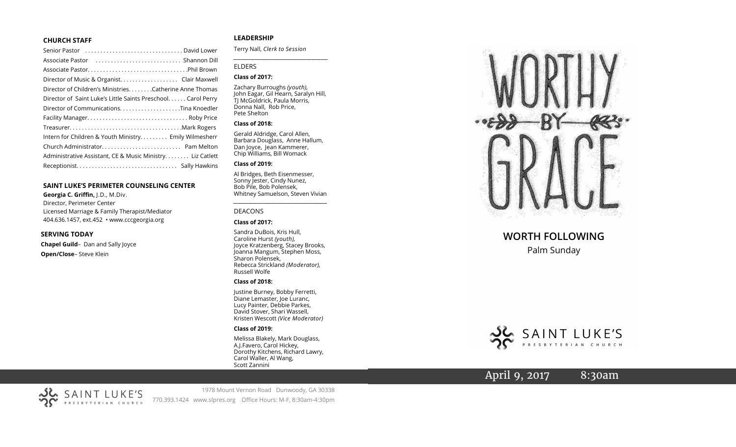#### **CHURCH STAFF**

| Senior Pastor (all contains and contained a senior Pastor contains) |
|---------------------------------------------------------------------|
|                                                                     |
|                                                                     |
|                                                                     |
| Director of Children's MinistriesCatherine Anne Thomas              |
| Director of Saint Luke's Little Saints Preschool. Carol Perry       |
|                                                                     |
|                                                                     |
|                                                                     |
| Intern for Children & Youth Ministry Emily Wilmesherr               |
|                                                                     |
| Administrative Assistant, CE & Music Ministry Liz Catlett           |
|                                                                     |
|                                                                     |

#### **SAINT LUKE 'S PERIMETER COUNSELING CENTER**

**Georgia C. Griffin,** J.D., M.Div. Director, Perimeter Center Licensed Marriage & Family Therapist/Mediator 404.636.1457, ext.452 • www.cccgeorgia.org

#### **SERVING TODAY**

**Chapel Guild** – Dan and Sally Joyce **Open/Close** – Steve Klein

#### **LEADERSHIP**

Terry Nall, *Clerk to Session*

#### ELDERS

#### **Class of 2017:**

Zachary Burroughs *(youth),*  John Eagar, Gil Hearn, Saralyn Hill, TJ McGoldrick, Paula Morris, Donna Nall, Rob Price, Pete Shelton

*\_\_\_\_\_\_\_\_\_\_\_\_\_\_\_\_\_\_\_\_\_\_\_\_\_\_\_\_\_\_\_\_\_\_\_\_\_\_\_\_\_*

#### **Class of 2018:**

Gerald Aldridge, Carol Allen, Barbara Douglass, Anne Hallum, Dan Joyce, Jean Kammerer, Chip Williams, Bill Womack

#### **Class of 2019:**

Al Bridges, Beth Eisenmesser, Sonny Jester, Cindy Nunez, Bob Pile, Bob Polensek, Whitney Samuelson, Steven Vivian

*\_\_\_\_\_\_\_\_\_\_\_\_\_\_\_\_\_\_\_\_\_\_\_\_\_\_\_\_\_\_\_\_\_\_\_\_\_*

#### DEACONS

#### **Class of 2017:**

Sandra DuBois, Kris Hull, Caroline Hurst *(youth),* Joyce Kratzenberg, Stacey Brooks, Joanna Mangum, Stephen Moss, Sharon Polensek, Rebecca Strickland *(Moderator),*  Russell Wolfe

#### **Class of 2018:**

Justine Burney, Bobby Ferretti, Diane Lemaster, Joe Luranc, Lucy Painter, Debbie Parkes, David Stover, Shari Wassell, Kristen Wescott *(Vice Moderator)*

#### **Class of 2019:**

Melissa Blakely, Mark Douglass, A.J.Favero, Carol Hickey, Dorothy Kitchens, Richard Lawry, Carol Waller, Al Wang, Scott Zannini



# **WORTH FOLLOWING**

### Palm Sunday



# April 9, 2017 8:30am



1978 Mount Vernon Road Dunwoody, GA 30338 770.393.1424 www.slpres.org Office Hours: M -F, 8:30am -4:30pm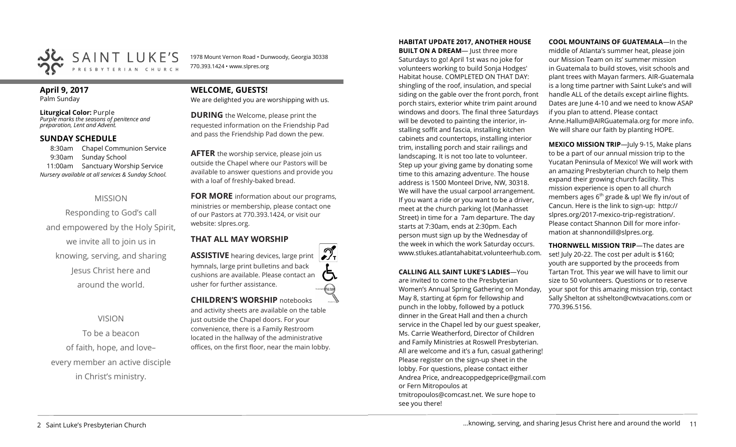

1978 Mount Vernon Road • Dunwoody, Georgia 30338 770.393.1424 • www.slpres.org

#### **April 9, 2017**  Palm Sunday

**Liturgical Color:** Purple *Purple marks the seasons of penitence and preparation, Lent and Advent.*

### **SUNDAY SCHEDULE**

8:30am Chapel Communion Service 9:30am Sunday School 11:00am Sanctuary Worship Service *Nursery available at all services & Sunday School.* 

#### MISSION

Responding to God's call and empowered by the Holy Spirit, we invite all to join us in knowing, serving, and sharing Jesus Christ here and around the world.

VISION

# To be a beacon of faith, hope, and love– every member an active disciple in Christ's ministry.

# **WELCOME, GUESTS!**

We are delighted you are worshipping with us.

**DURING** the Welcome, please print the requested information on the Friendship Pad and pass the Friendship Pad down the pew.

**AFTER** the worship service, please join us outside the Chapel where our Pastors will be available to answer questions and provide you with a loaf of freshly-baked bread.

**FOR MORE** information about our programs, ministries or membership, please contact one of our Pastors at 770.393.1424, or visit our website: slpres.org.

### **THAT ALL MAY WORSHIP**

**ASSISTIVE** hearing devices, large print hymnals, large print bulletins and back cushions are available. Please contact an usher for further assistance. **CHILDREN'S WORSHIP** notebooks

and activity sheets are available on the table just outside the Chapel doors. For your convenience, there is a Family Restroom located in the hallway of the administrative offices, on the first floor, near the main lobby.

#### **HABITAT UPDATE 2017, ANOTHER HOUSE**

**BUILT ON A DREAM-** Just three more Saturdays to go! April 1st was no joke for volunteers working to build Sonja Hodges' Habitat house. COMPLETED ON THAT DAY: shingling of the roof, insulation, and special siding on the gable over the front porch, front porch stairs, exterior white trim paint around windows and doors. The final three Saturdays will be devoted to painting the interior, installing soffit and fascia, installing kitchen cabinets and countertops, installing interior trim, installing porch and stair railings and landscaping. It is not too late to volunteer. Step up your giving game by donating some time to this amazing adventure. The house address is 1500 Monteel Drive, NW, 30318. We will have the usual carpool arrangement. If you want a ride or you want to be a driver, meet at the church parking lot (Manhasset Street) in time for a 7am departure. The day starts at 7:30am, ends at 2:30pm. Each person must sign up by the Wednesday of the week in which the work Saturday occurs. www.stlukes.atlantahabitat.volunteerhub.com.

**CALLING ALL SAINT LUKE'S LADIES**—You are invited to come to the Presbyterian Women's Annual Spring Gathering on Monday, May 8, starting at 6pm for fellowship and punch in the lobby, followed by a potluck dinner in the Great Hall and then a church service in the Chapel led by our guest speaker, Ms. Carrie Weatherford, Director of Children and Family Ministries at Roswell Presbyterian. All are welcome and it's a fun, casual gathering! Please register on the sign-up sheet in the lobby. For questions, please contact either Andrea Price, [andreacoppedgeprice@gmail.com](mailto:andreacoppedgeprice@gmail.com) or Fern Mitropoulos at [tmitropoulos@comcast.net.](mailto:tmitropoulos@comcast.net) We sure hope to see you there!

**COOL MOUNTAINS OF GUATEMALA**—In the middle of Atlanta's summer heat, please join our Mission Team on its' summer mission in Guatemala to build stoves, visit schools and plant trees with Mayan farmers. AIR-Guatemala is a long time partner with Saint Luke's and will handle ALL of the details except airline flights. Dates are June 4-10 and we need to know ASAP if you plan to attend. Please contact Anne.Hallum@AIRGuatemala.org for more info. We will share our faith by planting HOPE.

**MEXICO MISSION TRIP**—July 9-15, Make plans to be a part of our annual mission trip to the Yucatan Peninsula of Mexico! We will work with an amazing Presbyterian church to help them expand their growing church facility. This mission experience is open to all church members ages  $6<sup>th</sup>$  grade & up! We fly in/out of Cancun. Here is the link to sign-up: [http://](http://slpres.org/2017-mexico-trip-registration/) [slpres.org/2017](http://slpres.org/2017-mexico-trip-registration/)-mexico-trip-registration/. Please contact Shannon Dill for more information at shannondill@slpres.org.

**THORNWELL MISSION TRIP**—The dates are set! July 20-22. The cost per adult is \$160; youth are supported by the proceeds from Tartan Trot. This year we will have to limit our size to 50 volunteers. Questions or to reserve your spot for this amazing mission trip, contact Sally Shelton at sshelton@cwtvacations.com or 770.396.5156.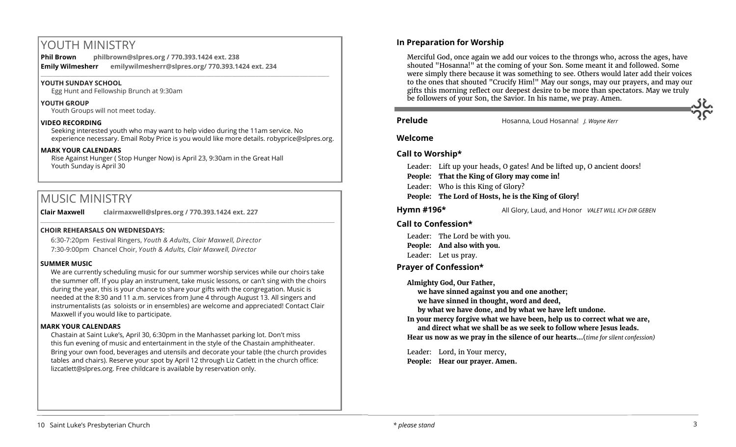# YOUTH MINISTRY

**Phil Brown philbrown@slpres.org / 770.393.1424 ext. 238 Emily Wilmesherr emilywilmesherr@slpres.org/ 770.393.1424 ext. 234**   $\_$  ,  $\_$  ,  $\_$  ,  $\_$  ,  $\_$  ,  $\_$  ,  $\_$  ,  $\_$  ,  $\_$  ,  $\_$  ,  $\_$  ,  $\_$  ,  $\_$  ,  $\_$  ,  $\_$  ,  $\_$  ,  $\_$  ,  $\_$  ,  $\_$  ,  $\_$ 

#### **YOUTH SUNDAY SCHOOL**

Egg Hunt and Fellowship Brunch at 9:30am

#### **YOUTH GROUP**

Youth Groups will not meet today.

#### **VIDEO RECORDING**

Seeking interested youth who may want to help video during the 11am service. No experience necessary. Email Roby Price is you would like more details. robyprice@slpres.org.

#### **MARK YOUR CALENDARS**

Rise Against Hunger ( Stop Hunger Now) is April 23, 9:30am in the Great Hall Youth Sunday is April 30

# MUSIC MINISTRY

**Clair Maxwell clairmaxwell@slpres.org / 770.393.1424 ext. 227** 

#### **CHOIR REHEARSALS ON WEDNESDAYS:**

6:30-7:20pm Festival Ringers, *Youth & Adults, Clair Maxwell, Director* 7:30-9:00pm Chancel Choir, *Youth & Adults, Clair Maxwell, Director* 

#### **SUMMER MUSIC**

We are currently scheduling music for our summer worship services while our choirs take the summer off. If you play an instrument, take music lessons, or can't sing with the choirs during the year, this is your chance to share your gifts with the congregation. Music is needed at the 8:30 and 11 a.m. services from June 4 through August 13. All singers and instrumentalists (as soloists or in ensembles) are welcome and appreciated! Contact Clair Maxwell if you would like to participate.

\_\_\_\_\_\_\_\_\_\_\_\_\_\_\_\_\_\_\_\_\_\_\_\_\_\_\_\_\_\_\_\_\_\_\_\_\_\_\_\_\_\_\_\_\_\_\_\_\_\_\_\_\_\_\_\_\_\_\_\_\_\_\_\_\_\_\_\_\_\_\_\_\_\_\_\_\_\_\_\_\_\_\_\_\_\_\_\_\_\_\_\_\_\_\_\_\_\_\_\_

#### **MARK YOUR CALENDARS**

Chastain at Saint Luke's, April 30, 6:30pm in the Manhasset parking lot. Don't miss this fun evening of music and entertainment in the style of the Chastain amphitheater. Bring your own food, beverages and utensils and decorate your table (the church provides tables and chairs). Reserve your spot by April 12 through Liz Catlett in the church office: [lizcatlett@slpres.org.](mailto:lizcatlett@slpres.org) Free childcare is available by reservation only.

#### **In Preparation for Worship**

Merciful God, once again we add our voices to the throngs who, across the ages, have shouted "Hosanna!" at the coming of your Son. Some meant it and followed. Some were simply there because it was something to see. Others would later add their voices to the ones that shouted "Crucify Him!" May our songs, may our prayers, and may our gifts this morning reflect our deepest desire to be more than spectators. May we truly be followers of your Son, the Savior. In his name, we pray. Amen.

í

**Prelude** Hosanna, Loud Hosanna! *J. Wayne Kerr*

#### **Welcome**

#### **Call to Worship\***

Leader: Lift up your heads, O gates! And be lifted up, O ancient doors!

**People: That the King of Glory may come in!**

Leader: Who is this King of Glory?

**People: The Lord of Hosts, he is the King of Glory!** 

**Hymn #196\*** All Glory, Laud, and Honor *VALET WILL ICH DIR GEBEN*

#### **Call to Confession\***

Leader: The Lord be with you. **People: And also with you.** Leader: Let us pray.

#### **Prayer of Confession\***

**Almighty God, Our Father,** 

**we have sinned against you and one another;** 

**we have sinned in thought, word and deed,** 

**by what we have done, and by what we have left undone.** 

**In your mercy forgive what we have been, help us to correct what we are,** 

**and direct what we shall be as we seek to follow where Jesus leads. Hear us now as we pray in the silence of our hearts…**(*time for silent confession)*

Leader: Lord, in Your mercy, **People: Hear our prayer. Amen.**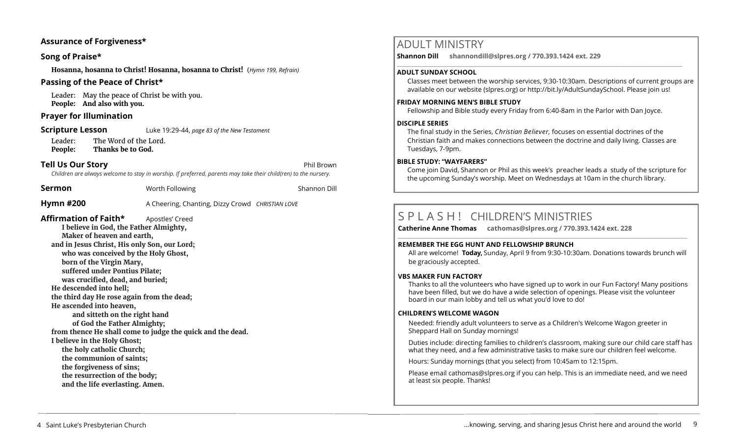#### **Assurance of Forgiveness\***

#### **Song of Praise\***

**Hosanna, hosanna to Christ! Hosanna, hosanna to Christ!** (*Hymn 199, Refrain)* 

#### **Passing of the Peace of Christ\***

Leader: May the peace of Christ be with you. **People: And also with you.** 

#### **Prayer for Illumination**

#### **Scripture Lesson** Luke 19:29-44, *page 83 of the New Testament*

Leader: The Word of the Lord. **People: Thanks be to God.**

#### **Tell Us Our Story** Phil Brown

*Children are always welcome to stay in worship. If preferred, parents may take their child(ren) to the nursery.*

| Sermon                                                                                                                                                                                                                                                                                                                                                                                                                                                                                                                                                                                                                                                | Worth Following                                                               | Shannon Dill |
|-------------------------------------------------------------------------------------------------------------------------------------------------------------------------------------------------------------------------------------------------------------------------------------------------------------------------------------------------------------------------------------------------------------------------------------------------------------------------------------------------------------------------------------------------------------------------------------------------------------------------------------------------------|-------------------------------------------------------------------------------|--------------|
| <b>Hymn #200</b>                                                                                                                                                                                                                                                                                                                                                                                                                                                                                                                                                                                                                                      | A Cheering, Chanting, Dizzy Crowd CHRISTIAN LOVE                              |              |
| Affirmation of Faith*<br>I believe in God, the Father Almighty,<br>Maker of heaven and earth,<br>and in Jesus Christ, His only Son, our Lord;<br>who was conceived by the Holy Ghost,<br>born of the Virgin Mary,<br>suffered under Pontius Pilate;<br>was crucified, dead, and buried;<br>He descended into hell;<br>the third day He rose again from the dead;<br>He ascended into heaven,<br>and sitteth on the right hand<br>of God the Father Almighty;<br>I believe in the Holy Ghost;<br>the holy catholic Church;<br>the communion of saints;<br>the forgiveness of sins;<br>the resurrection of the body;<br>and the life everlasting. Amen. | Apostles' Creed<br>from thence He shall come to judge the quick and the dead. |              |

# ADULT MINISTRY

**Shannon Dill shannondill@slpres.org / 770.393.1424 ext. 229** 

#### **ADULT SUNDAY SCHOOL**

Classes meet between the worship services, 9:30-10:30am. Descriptions of current groups are available on our website (slpres.org) or http://bit.ly/AdultSundaySchool. Please join us!

#### **FRIDAY MORNING MEN'S BIBLE STUDY**

Fellowship and Bible study every Friday from 6:40-8am in the Parlor with Dan Joyce.

 $\_$  ,  $\_$  ,  $\_$  ,  $\_$  ,  $\_$  ,  $\_$  ,  $\_$  ,  $\_$  ,  $\_$  ,  $\_$  ,  $\_$  ,  $\_$  ,  $\_$  ,  $\_$  ,  $\_$  ,  $\_$  ,  $\_$  ,  $\_$  ,  $\_$  ,  $\_$ 

#### **DISCIPLE SERIES**

The final study in the Series, *Christian Believer,* focuses on essential doctrines of the Christian faith and makes connections between the doctrine and daily living. Classes are Tuesdays, 7-9pm.

#### **BIBLE STUDY: "WAYFARERS"**

Come join David, Shannon or Phil as this week's preacher leads a study of the scripture for the upcoming Sunday's worship. Meet on Wednesdays at 10am in the church library.

# S P L A S H ! CHILDREN'S MINISTRIES

**Catherine Anne Thomas cathomas@slpres.org / 770.393.1424 ext. 228 \_\_\_\_\_\_\_\_\_\_\_\_\_\_\_\_\_\_\_\_\_\_\_\_\_\_\_\_\_\_\_\_\_\_\_\_\_\_\_\_\_\_\_\_\_\_\_\_\_\_\_\_\_\_\_\_\_\_\_\_\_\_\_\_\_\_\_\_\_\_\_\_\_\_\_\_\_\_\_\_\_\_\_\_\_\_\_\_\_\_\_\_\_\_\_\_\_\_\_\_\_\_\_\_\_\_\_** 

#### **REMEMBER THE EGG HUNT AND FELLOWSHIP BRUNCH**

All are welcome! **Today,** Sunday, April 9 from 9:30-10:30am. Donations towards brunch will be graciously accepted.

#### **VBS MAKER FUN FACTORY**

Thanks to all the volunteers who have signed up to work in our Fun Factory! Many positions have been filled, but we do have a wide selection of openings. Please visit the volunteer board in our main lobby and tell us what you'd love to do!

#### **CHILDREN'S WELCOME WAGON**

Needed: friendly adult volunteers to serve as a Children's Welcome Wagon greeter in Sheppard Hall on Sunday mornings!

Duties include: directing families to children's classroom, making sure our child care staff has what they need, and a few administrative tasks to make sure our children feel welcome.

Hours: Sunday mornings (that you select) from 10:45am to 12:15pm.

Please email [cathomas@slpres.org](mailto:cathomas@slpres.org) if you can help. This is an immediate need, and we need at least six people. Thanks!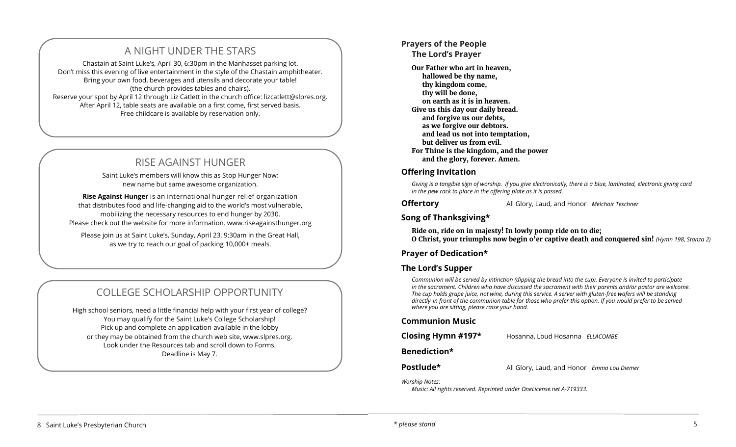# A NIGHT UNDER THE STARS

Chastain at Saint Luke's, April 30, 6:30pm in the Manhasset parking lot. Don't miss this evening of live entertainment in the style of the Chastain amphitheater. Bring your own food, beverages and utensils and decorate your table! (the church provides tables and chairs). Reserve your spot by April 12 through Liz Catlett in the church office: [lizcatlett@slpres.org.](mailto:lizcatlett@slpres.org)  After April 12, table seats are available on a first come, first served basis. Free childcare is available by reservation only.

# RISE AGAINST HUNGER

Saint Luke's members will know this as Stop Hunger Now; new name but same awesome organization.

**Rise Against Hunger** is an international hunger relief organization that distributes food and life-changing aid to the world's most vulnerable, mobilizing the necessary resources to end hunger by 2030. Please check out the website for more information. www.riseagainsthunger.org

Please join us at Saint Luke's, Sunday, April 23, 9:30am in the Great Hall, as we try to reach our goal of packing 10,000+ meals.

# COLLEGE SCHOLARSHIP OPPORTUNITY

High school seniors, need a little financial help with your first year of college? You may qualify for the Saint Luke's College Scholarship! Pick up and complete an application-available in the lobby or they may be obtained from the church web site, www.slpres.org. Look under the Resources tab and scroll down to Forms. Deadline is May 7.

# **Prayers of the People**

**The Lord's Prayer** 

**Our Father who art in heaven, hallowed be thy name, thy kingdom come, thy will be done, on earth as it is in heaven. Give us this day our daily bread. and forgive us our debts, as we forgive our debtors. and lead us not into temptation, but deliver us from evil. For Thine is the kingdom, and the power and the glory, forever. Amen.**

#### **Offering Invitation**

*Giving is a tangible sign of worship. If you give electronically, there is a blue, laminated, electronic giving card in the pew rack to place in the offering plate as it is passed.* 

**Offertory** All Glory, Laud, and Honor *Melchoir Teschner*

# **Song of Thanksgiving\***

**Ride on, ride on in majesty! In lowly pomp ride on to die; O Christ, your triumphs now begin o'er captive death and conquered sin!** *(Hymn 198, Stanza 2)* 

#### **Prayer of Dedication\***

### **The Lord's Supper**

*Communion will be served by intinction (dipping the bread into the cup). Everyone is invited to participate in the sacrament. Children who have discussed the sacrament with their parents and/or pastor are welcome. The cup holds grape juice, not wine, during this service. A server with gluten-free wafers will be standing directly in front of the communion table for those who prefer this option. If you would prefer to be served where you are sitting, please raise your hand.* 

#### **Communion Music**

**Closing Hymn #197\*** Hosanna, Loud Hosanna *ELLACOMBE*

#### **Benediction\***

**Postlude\*** All Glory, Laud, and Honor *Emma Lou Diemer*

*Worship Notes:* 

*Music: All rights reserved. Reprinted under OneLicense.net A-719333.*